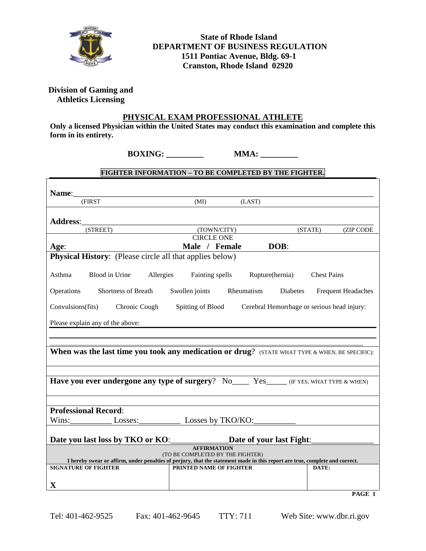

# **State of Rhode Island DEPARTMENT OF BUSINESS REGULATION 1511 Pontiac Avenue, Bldg. 69-1 Cranston, Rhode Island 02920**

## **Division of Gaming and Athletics Licensing**

r

#### **PHYSICAL EXAM PROFESSIONAL ATHLETE**

**Only a licensed Physician within the United States may conduct this examination and complete this form in its entirety.**

## **FIGHTER INFORMATION – TO BE COMPLETED BY THE FIGHTER.**

| (FIRST                                                                                                                       | (MI)                                                  | (LAST)          |                    |  |  |  |
|------------------------------------------------------------------------------------------------------------------------------|-------------------------------------------------------|-----------------|--------------------|--|--|--|
|                                                                                                                              |                                                       |                 |                    |  |  |  |
| <b>Address:</b>                                                                                                              |                                                       |                 |                    |  |  |  |
| (STREET)                                                                                                                     | (TOWN/CITY)<br>(STATE) (ZIP CODE<br><b>CIRCLE ONE</b> |                 |                    |  |  |  |
| Age:                                                                                                                         | Male / Female<br>DOB:                                 |                 |                    |  |  |  |
| Physical History: (Please circle all that applies below)                                                                     |                                                       |                 |                    |  |  |  |
|                                                                                                                              |                                                       |                 |                    |  |  |  |
| Blood in Urine Allergies Fainting spells<br>Asthma                                                                           |                                                       | Rupture(hernia) | <b>Chest Pains</b> |  |  |  |
| Operations<br>Shortness of Breath Swollen joints Rheumatism Diabetes<br><b>Frequent Headaches</b>                            |                                                       |                 |                    |  |  |  |
| Convulsions (fits) Chronic Cough<br>Spitting of Blood Cerebral Hemorrhage or serious head injury:                            |                                                       |                 |                    |  |  |  |
| Please explain any of the above:                                                                                             |                                                       |                 |                    |  |  |  |
|                                                                                                                              |                                                       |                 |                    |  |  |  |
|                                                                                                                              |                                                       |                 |                    |  |  |  |
| When was the last time you took any medication or drug? (STATE WHAT TYPE & WHEN, BE SPECIFIC):                               |                                                       |                 |                    |  |  |  |
|                                                                                                                              |                                                       |                 |                    |  |  |  |
| <b>Have you ever undergone any type of surgery?</b> No Yes (IF YES, WHAT TYPE & WHEN)                                        |                                                       |                 |                    |  |  |  |
|                                                                                                                              |                                                       |                 |                    |  |  |  |
| <b>Professional Record:</b>                                                                                                  |                                                       |                 |                    |  |  |  |
| Wins: Losses: Losses by TKO/KO:                                                                                              |                                                       |                 |                    |  |  |  |
| Date you last loss by TKO or KO: ______________Date of your last Fight:                                                      |                                                       |                 |                    |  |  |  |
| <b>AFFIRMATION</b><br>(TO BE COMPLETED BY THE FIGHTER)                                                                       |                                                       |                 |                    |  |  |  |
| I hereby swear or affirm, under penalties of perjury, that the statement made in this report are true, complete and correct. |                                                       |                 |                    |  |  |  |
| <b>SIGNATURE OF FIGHTER</b>                                                                                                  | PRINTED NAME OF FIGHTER                               |                 | DATE:              |  |  |  |
| $\mathbf X$                                                                                                                  |                                                       |                 |                    |  |  |  |